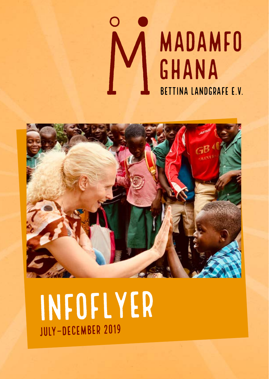



# Infoflyer July–DeCember 2019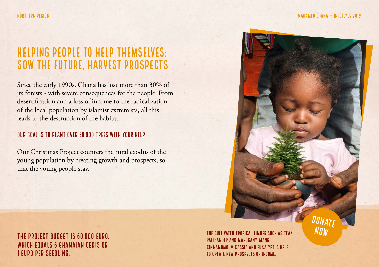DONATI now

## Helping people to help themselves: sow the future, harvest prospects

Since the early 1990s, Ghana has lost more than 30% of its forests - with severe consequences for the people. From desertification and a loss of income to the radicalization of the local population by islamist extremists, all this leads to the destruction of the habitat.

#### OUR GOAL IS TO PLANT OVER 50,000 TREES WITH YOUR HELP.

Our Christmas Project counters the rural exodus of the young population by creating growth and prospects, so that the young people stay.

The project budget is 60,000 Euro, which equals 6 Ghanaian Cedis or 1 Euro per seedling.

The cultivated tropical timber such as teak, palisander and mahogany, mango, cinnamomoum cassia and eukalyptus help to create new prospects of income.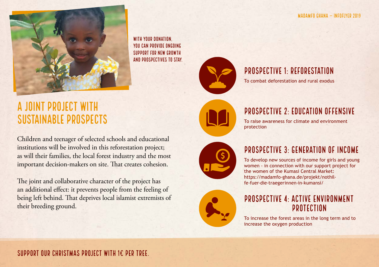

WITH YOUR DONATION you can provide ongoing support for new growth and prospectives to stay.

## A joint project with sustainable prospects

Children and teenager of selected schools and educational institutions will be involved in this reforestation project; as will their families, the local forest industry and the most important decision-makers on site. That creates cohesion.

The joint and collaborative character of the project has an additional effect: it prevents people from the feeling of being left behind. That deprives local islamist extremists of their breeding ground.



#### Prospective 1: Reforestation

To combat deforestation and rural exodus

protection





Prospective 2: Education offensive To raise awareness for climate and environment

To develop new sources of income for girls and young women - in connection with our support project for the women of the Kumasi Central Market: https://madamfo-ghana.de/projekt/nothilfe-fuer-die-traegerinnen-in-kumansi/



#### Prospective 4: Active environment protection

To increase the forest areas in the long term and to increase the oxygen production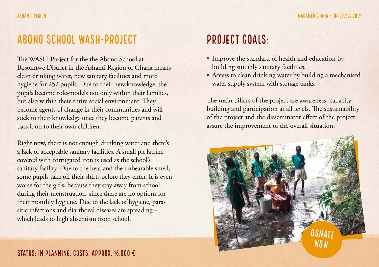### Abono School WASH-Project

The WASH-Project for the the Abono School at Bosomtwe District in the Ashanti Region of Ghana means clean drinking water, new sanitary facilities and more hygiene for 252 pupils. Due to their new knowledge, the pupils become role-models not only within their families, but also within their entire social environment. They become agents of change in their communities and will stick to their knowledge once they become parents and pass it on to their own children.

Right now, there is not enough drinking water and there's a lack of acceptable sanitary facilities. A small pit latrine covered with corrugated iron is used as the school's sanitary facility. Due to the heat and the unbearable smell, some pupils take off their shirts before they enter. It is even worse for the girls, because they stay away from school during their menstruation, since there are no options for their monthly hygiene. Due to the lack of hygiene, parasitic infections and diarrhoeal diseases are spreading – which leads to high absentism from school.

## Project Goals:

- Improve the standard of health and education by building suitably sanitary facilities.
- Access to clean drinking water by building a mechanised water supply system with storage tanks.

The main pillars of the project are awareness, capacity building and participation at all levels. The sustainability of the project and the disseminator effect of the project assure the improvement of the overall situation.

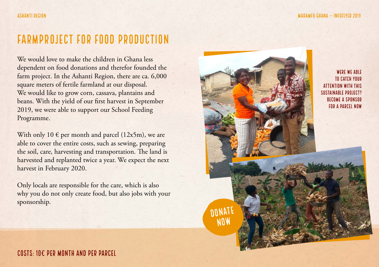## Farmproject for food production

We would love to make the children in Ghana less dependent on food donations and therefor founded the farm project. In the Ashanti Region, there are ca. 6,000 square meters of fertile farmland at our disposal. We would like to grow corn, cassava, plantains and beans. With the yield of our first harvest in September 2019, we were able to support our School Feeding Programme.

With only 10  $\epsilon$  per month and parcel (12x5m), we are able to cover the entire costs, such as sewing, preparing the soil, care, harvesting and transportation. The land is harvested and replanted twice a year. We expect the next harvest in February 2020.

Only locals are responsible for the care, which is also why you do not only create food, but also jobs with your sponsorship.

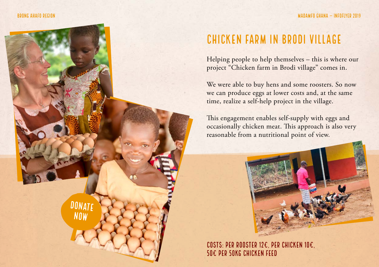#### Brong Ahafo Region



## Chicken farm in Brodi village

Helping people to help themselves – this is where our project "Chicken farm in Brodi village" comes in.

We were able to buy hens and some roosters. So now we can produce eggs at lower costs and, at the same time, realize a self-help project in the village.

This engagement enables self-supply with eggs and occasionally chicken meat. This approach is also very reasonable from a nutritional point of view.



Costs: per rooster 12€, per chicken 10€, 50€ per 50kg chicken feed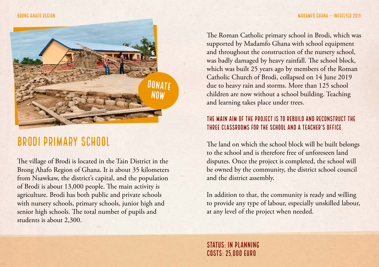

## Brodi Primary School

The village of Brodi is located in the Tain District in the Brong Ahafo Region of Ghana. It is about 35 kilometers from Nsawkaw, the district's capital, and the population of Brodi is about 13,000 people. The main activity is agriculture. Brodi has both public and private schools with nursery schools, primary schools, junior high and senior high schools. The total number of pupils and students is about 2,300.

The Roman Catholic primary school in Brodi, which was supported by Madamfo Ghana with school equipment and throughout the construction of the nursery school, was badly damaged by heavy rainfall. The school block, which was built 25 years ago by members of the Roman Catholic Church of Brodi, collapsed on 14 June 2019 due to heavy rain and storms. More than 125 school children are now without a school building. Teaching and learning takes place under trees.

#### THE MAIN AIM OF THE PROJECT IS TO REBUILD AND RECONSTRUCT THE three classrooms for the school and a teacher's office.

The land on which the school block will be built belongs to the school and is therefore free of unforeseen land disputes. Once the project is completed, the school will be owned by the community, the district school council and the district assembly.

In addition to that, the community is ready and willing to provide any type of labour, especially unskilled labour, at any level of the project when needed.

Status: in planning  $COSTS-25,000$  FURO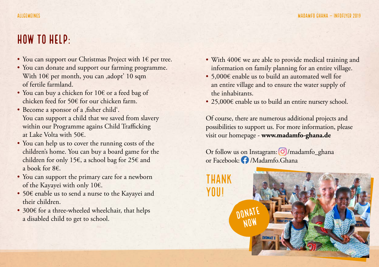## How to help:

- You can support our Christmas Project with 1€ per tree.
- You can donate and support our farming programme. With  $10 \in \text{per month}$ , you can ,adopt' 10 sqm of fertile farmland.
- You can buy a chicken for 10€ or a feed bag of chicken feed for 50€ for our chicken farm.
- Become a sponsor of a , fisher child'. You can support a child that we saved from slavery within our Programme agains Child Trafficking at Lake Volta with 50€.
- You can help us to cover the running costs of the children's home. You can buy a board game for the children for only 15€, a school bag for 25€ and a book for 8€.
- You can support the primary care for a newborn of the Kayayei with only 10€.
- 50€ enable us to send a nurse to the Kayayei and their children.
- 300€ for a three-wheeled wheelchair, that helps a disabled child to get to school.
- With 400€ we are able to provide medical training and information on family planning for an entire village.
- 5,000€ enable us to build an automated well for an entire village and to ensure the water supply of the inhabitants.
- 25,000€ enable us to build an entire nursery school.

Of course, there are numerous additional projects and possibilities to support us. For more information, please visit our homepage - **www.madamfo-ghana.de**

Or follow us on Instagram: O/madamfo\_ghana or Facebook: O /Madamfo.Ghana